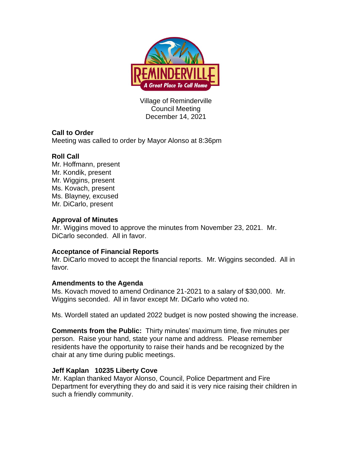

Village of Reminderville Council Meeting December 14, 2021

# **Call to Order**

Meeting was called to order by Mayor Alonso at 8:36pm

# **Roll Call**

Mr. Hoffmann, present Mr. Kondik, present Mr. Wiggins, present Ms. Kovach, present Ms. Blayney, excused Mr. DiCarlo, present

## **Approval of Minutes**

Mr. Wiggins moved to approve the minutes from November 23, 2021. Mr. DiCarlo seconded. All in favor.

### **Acceptance of Financial Reports**

Mr. DiCarlo moved to accept the financial reports. Mr. Wiggins seconded. All in favor.

### **Amendments to the Agenda**

Ms. Kovach moved to amend Ordinance 21-2021 to a salary of \$30,000. Mr. Wiggins seconded. All in favor except Mr. DiCarlo who voted no.

Ms. Wordell stated an updated 2022 budget is now posted showing the increase.

**Comments from the Public:** Thirty minutes' maximum time, five minutes per person. Raise your hand, state your name and address. Please remember residents have the opportunity to raise their hands and be recognized by the chair at any time during public meetings.

### **Jeff Kaplan 10235 Liberty Cove**

Mr. Kaplan thanked Mayor Alonso, Council, Police Department and Fire Department for everything they do and said it is very nice raising their children in such a friendly community.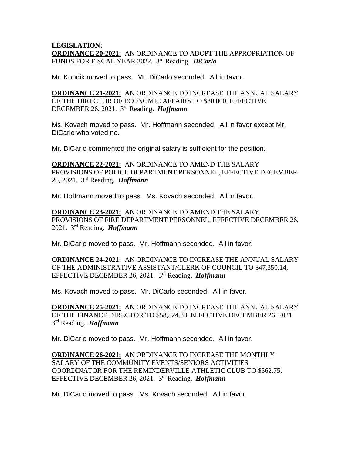#### **LEGISLATION: ORDINANCE 20-2021:** AN ORDINANCE TO ADOPT THE APPROPRIATION OF FUNDS FOR FISCAL YEAR 2022. 3 rd Reading. *DiCarlo*

Mr. Kondik moved to pass. Mr. DiCarlo seconded. All in favor.

**ORDINANCE 21-2021:** AN ORDINANCE TO INCREASE THE ANNUAL SALARY OF THE DIRECTOR OF ECONOMIC AFFAIRS TO \$30,000, EFFECTIVE DECEMBER 26, 2021. 3 rd Reading. *Hoffmann*

Ms. Kovach moved to pass. Mr. Hoffmann seconded. All in favor except Mr. DiCarlo who voted no.

Mr. DiCarlo commented the original salary is sufficient for the position.

**ORDINANCE 22-2021:** AN ORDINANCE TO AMEND THE SALARY PROVISIONS OF POLICE DEPARTMENT PERSONNEL, EFFECTIVE DECEMBER 26, 2021. 3 rd Reading. *Hoffmann*

Mr. Hoffmann moved to pass. Ms. Kovach seconded. All in favor.

**ORDINANCE 23-2021:** AN ORDINANCE TO AMEND THE SALARY PROVISIONS OF FIRE DEPARTMENT PERSONNEL, EFFECTIVE DECEMBER 26, 2021. 3 rd Reading. *Hoffmann*

Mr. DiCarlo moved to pass. Mr. Hoffmann seconded. All in favor.

**ORDINANCE 24-2021:** AN ORDINANCE TO INCREASE THE ANNUAL SALARY OF THE ADMINISTRATIVE ASSISTANT/CLERK OF COUNCIL TO \$47,350.14, EFFECTIVE DECEMBER 26, 2021. 3 rd Reading. *Hoffmann*

Ms. Kovach moved to pass. Mr. DiCarlo seconded. All in favor.

**ORDINANCE 25-2021:** AN ORDINANCE TO INCREASE THE ANNUAL SALARY OF THE FINANCE DIRECTOR TO \$58,524.83, EFFECTIVE DECEMBER 26, 2021. 3 rd Reading. *Hoffmann*

Mr. DiCarlo moved to pass. Mr. Hoffmann seconded. All in favor.

**ORDINANCE 26-2021:** AN ORDINANCE TO INCREASE THE MONTHLY SALARY OF THE COMMUNITY EVENTS/SENIORS ACTIVITIES COORDINATOR FOR THE REMINDERVILLE ATHLETIC CLUB TO \$562.75, EFFECTIVE DECEMBER 26, 2021. 3 rd Reading. *Hoffmann*

Mr. DiCarlo moved to pass. Ms. Kovach seconded. All in favor.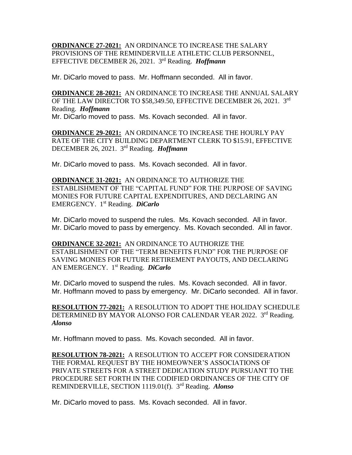**ORDINANCE 27-2021:** AN ORDINANCE TO INCREASE THE SALARY PROVISIONS OF THE REMINDERVILLE ATHLETIC CLUB PERSONNEL, EFFECTIVE DECEMBER 26, 2021. 3 rd Reading. *Hoffmann*

Mr. DiCarlo moved to pass. Mr. Hoffmann seconded. All in favor.

**ORDINANCE 28-2021:** AN ORDINANCE TO INCREASE THE ANNUAL SALARY OF THE LAW DIRECTOR TO \$58,349.50, EFFECTIVE DECEMBER 26, 2021. 3rd Reading. *Hoffmann* Mr. DiCarlo moved to pass. Ms. Kovach seconded. All in favor.

**ORDINANCE 29-2021:** AN ORDINANCE TO INCREASE THE HOURLY PAY RATE OF THE CITY BUILDING DEPARTMENT CLERK TO \$15.91, EFFECTIVE DECEMBER 26, 2021. 3 rd Reading. *Hoffmann*

Mr. DiCarlo moved to pass. Ms. Kovach seconded. All in favor.

**ORDINANCE 31-2021:** AN ORDINANCE TO AUTHORIZE THE ESTABLISHMENT OF THE "CAPITAL FUND" FOR THE PURPOSE OF SAVING MONIES FOR FUTURE CAPITAL EXPENDITURES, AND DECLARING AN EMERGENCY. 1 st Reading. *DiCarlo*

Mr. DiCarlo moved to suspend the rules. Ms. Kovach seconded. All in favor. Mr. DiCarlo moved to pass by emergency. Ms. Kovach seconded. All in favor.

**ORDINANCE 32-2021:** AN ORDINANCE TO AUTHORIZE THE ESTABLISHMENT OF THE "TERM BENEFITS FUND" FOR THE PURPOSE OF SAVING MONIES FOR FUTURE RETIREMENT PAYOUTS, AND DECLARING AN EMERGENCY. 1 st Reading. *DiCarlo*

Mr. DiCarlo moved to suspend the rules. Ms. Kovach seconded. All in favor. Mr. Hoffmann moved to pass by emergency. Mr. DiCarlo seconded. All in favor.

**RESOLUTION 77-2021:** A RESOLUTION TO ADOPT THE HOLIDAY SCHEDULE DETERMINED BY MAYOR ALONSO FOR CALENDAR YEAR 2022. 3rd Reading. *Alonso* 

Mr. Hoffmann moved to pass. Ms. Kovach seconded. All in favor.

**RESOLUTION 78-2021:** A RESOLUTION TO ACCEPT FOR CONSIDERATION THE FORMAL REQUEST BY THE HOMEOWNER'S ASSOCIATIONS OF PRIVATE STREETS FOR A STREET DEDICATION STUDY PURSUANT TO THE PROCEDURE SET FORTH IN THE CODIFIED ORDINANCES OF THE CITY OF REMINDERVILLE, SECTION 1119.01(f). 3 rd Reading. *Alonso*

Mr. DiCarlo moved to pass. Ms. Kovach seconded. All in favor.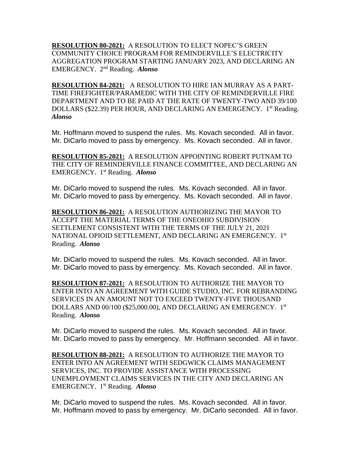**RESOLUTION 80-2021:** A RESOLUTION TO ELECT NOPEC'S GREEN COMMUNITY CHOICE PROGRAM FOR REMINDERVILLE'S ELECTRICITY AGGREGATION PROGRAM STARTING JANUARY 2023, AND DECLARING AN EMERGENCY. 2nd Reading. *Alonso*

**RESOLUTION 84-2021:** A RESOLUTION TO HIRE IAN MURRAY AS A PART-TIME FIREFIGHTER/PARAMEDIC WITH THE CITY OF REMINDERVILLE FIRE DEPARTMENT AND TO BE PAID AT THE RATE OF TWENTY-TWO AND 39/100 DOLLARS (\$22.39) PER HOUR, AND DECLARING AN EMERGENCY. 1<sup>st</sup> Reading. *Alonso*

Mr. Hoffmann moved to suspend the rules. Ms. Kovach seconded. All in favor. Mr. DiCarlo moved to pass by emergency. Ms. Kovach seconded. All in favor.

**RESOLUTION 85-2021:** A RESOLUTION APPOINTING ROBERT PUTNAM TO THE CITY OF REMINDERVILLE FINANCE COMMITTEE, AND DECLARING AN EMERGENCY. 1 st Reading. *Alonso*

Mr. DiCarlo moved to suspend the rules. Ms. Kovach seconded. All in favor. Mr. DiCarlo moved to pass by emergency. Ms. Kovach seconded. All in favor.

**RESOLUTION 86-2021:** A RESOLUTION AUTHORIZING THE MAYOR TO ACCEPT THE MATERIAL TERMS OF THE ONEOHIO SUBDIVISION SETTLEMENT CONSISTENT WITH THE TERMS OF THE JULY 21, 2021 NATIONAL OPIOID SETTLEMENT, AND DECLARING AN EMERGENCY. 1st Reading. *Alonso*

Mr. DiCarlo moved to suspend the rules. Ms. Kovach seconded. All in favor. Mr. DiCarlo moved to pass by emergency. Ms. Kovach seconded. All in favor.

**RESOLUTION 87-2021:** A RESOLUTION TO AUTHORIZE THE MAYOR TO ENTER INTO AN AGREEMENT WITH GUIDE STUDIO, INC. FOR REBRANDING SERVICES IN AN AMOUNT NOT TO EXCEED TWENTY-FIVE THOUSAND DOLLARS AND 00/100 (\$25,000.00), AND DECLARING AN EMERGENCY. 1st Reading. *Alonso*

Mr. DiCarlo moved to suspend the rules. Ms. Kovach seconded. All in favor. Mr. DiCarlo moved to pass by emergency. Mr. Hoffmann seconded. All in favor.

**RESOLUTION 88-2021:** A RESOLUTION TO AUTHORIZE THE MAYOR TO ENTER INTO AN AGREEMENT WITH SEDGWICK CLAIMS MANAGEMENT SERVICES, INC. TO PROVIDE ASSISTANCE WITH PROCESSING UNEMPLOYMENT CLAIMS SERVICES IN THE CITY AND DECLARING AN EMERGENCY. 1 st Reading. *Alonso*

Mr. DiCarlo moved to suspend the rules. Ms. Kovach seconded. All in favor. Mr. Hoffmann moved to pass by emergency. Mr. DiCarlo seconded. All in favor.